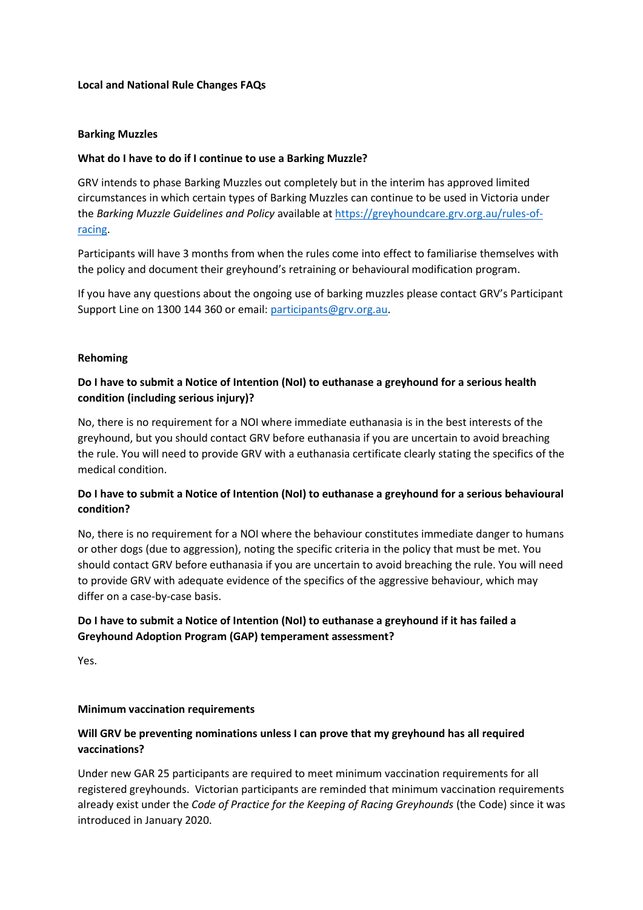## **Local and National Rule Changes FAQs**

### **Barking Muzzles**

## **What do I have to do if I continue to use a Barking Muzzle?**

GRV intends to phase Barking Muzzles out completely but in the interim has approved limited circumstances in which certain types of Barking Muzzles can continue to be used in Victoria under the *Barking Muzzle Guidelines and Policy* available at [https://greyhoundcare.grv.org.au/rules-of](https://greyhoundcare.grv.org.au/rules-of-racing)[racing.](https://greyhoundcare.grv.org.au/rules-of-racing)

Participants will have 3 months from when the rules come into effect to familiarise themselves with the policy and document their greyhound's retraining or behavioural modification program.

If you have any questions about the ongoing use of barking muzzles please contact GRV's Participant Support Line on 1300 144 360 or email[: participants@grv.org.au.](mailto:participants@grv.org.au)

### **Rehoming**

# **Do I have to submit a Notice of Intention (NoI) to euthanase a greyhound for a serious health condition (including serious injury)?**

No, there is no requirement for a NOI where immediate euthanasia is in the best interests of the greyhound, but you should contact GRV before euthanasia if you are uncertain to avoid breaching the rule. You will need to provide GRV with a euthanasia certificate clearly stating the specifics of the medical condition.

# **Do I have to submit a Notice of Intention (NoI) to euthanase a greyhound for a serious behavioural condition?**

No, there is no requirement for a NOI where the behaviour constitutes immediate danger to humans or other dogs (due to aggression), noting the specific criteria in the policy that must be met. You should contact GRV before euthanasia if you are uncertain to avoid breaching the rule. You will need to provide GRV with adequate evidence of the specifics of the aggressive behaviour, which may differ on a case-by-case basis.

# **Do I have to submit a Notice of Intention (NoI) to euthanase a greyhound if it has failed a Greyhound Adoption Program (GAP) temperament assessment?**

Yes.

### **Minimum vaccination requirements**

# **Will GRV be preventing nominations unless I can prove that my greyhound has all required vaccinations?**

Under new GAR 25 participants are required to meet minimum vaccination requirements for all registered greyhounds. Victorian participants are reminded that minimum vaccination requirements already exist under the *Code of Practice for the Keeping of Racing Greyhounds* (the Code) since it was introduced in January 2020.